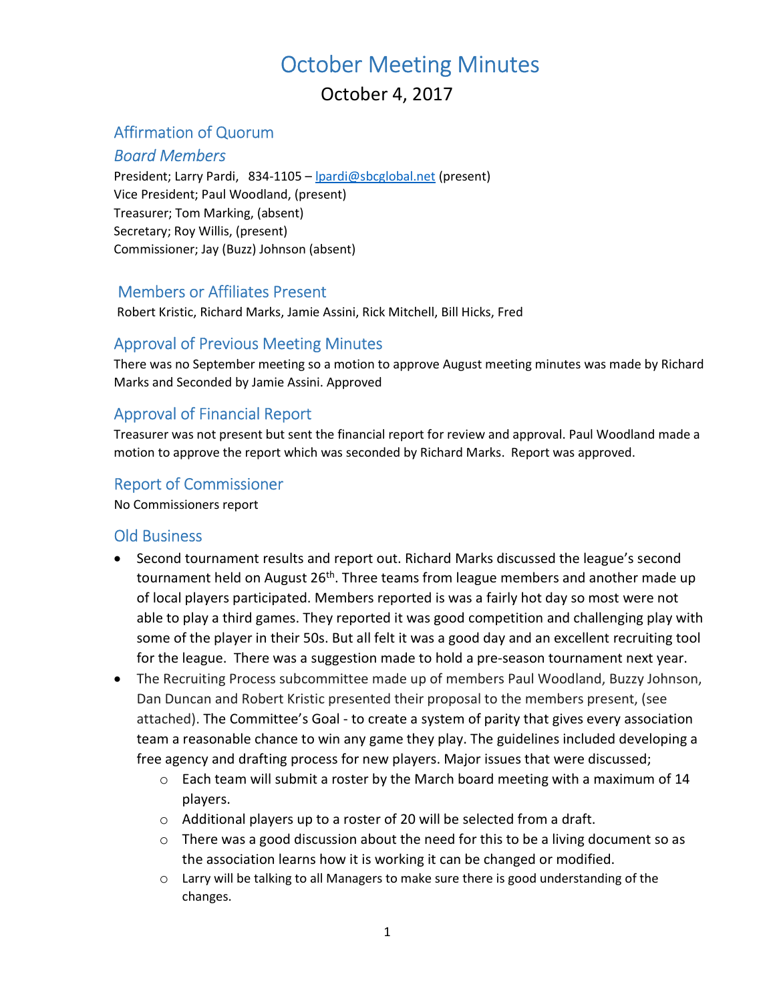# October Meeting Minutes

October 4, 2017

# Affirmation of Quorum

#### Board Members

President; Larry Pardi, 834-1105 – lpardi@sbcglobal.net (present) Vice President; Paul Woodland, (present) Treasurer; Tom Marking, (absent) Secretary; Roy Willis, (present) Commissioner; Jay (Buzz) Johnson (absent)

# Members or Affiliates Present

Robert Kristic, Richard Marks, Jamie Assini, Rick Mitchell, Bill Hicks, Fred

# Approval of Previous Meeting Minutes

There was no September meeting so a motion to approve August meeting minutes was made by Richard Marks and Seconded by Jamie Assini. Approved

# Approval of Financial Report

Treasurer was not present but sent the financial report for review and approval. Paul Woodland made a motion to approve the report which was seconded by Richard Marks. Report was approved.

# Report of Commissioner

No Commissioners report

# Old Business

- Second tournament results and report out. Richard Marks discussed the league's second tournament held on August  $26<sup>th</sup>$ . Three teams from league members and another made up of local players participated. Members reported is was a fairly hot day so most were not able to play a third games. They reported it was good competition and challenging play with some of the player in their 50s. But all felt it was a good day and an excellent recruiting tool for the league. There was a suggestion made to hold a pre-season tournament next year.
- The Recruiting Process subcommittee made up of members Paul Woodland, Buzzy Johnson, Dan Duncan and Robert Kristic presented their proposal to the members present, (see attached). The Committee's Goal - to create a system of parity that gives every association team a reasonable chance to win any game they play. The guidelines included developing a free agency and drafting process for new players. Major issues that were discussed;
	- $\circ$  Each team will submit a roster by the March board meeting with a maximum of 14 players.
	- $\circ$  Additional players up to a roster of 20 will be selected from a draft.
	- $\circ$  There was a good discussion about the need for this to be a living document so as the association learns how it is working it can be changed or modified.
	- $\circ$  Larry will be talking to all Managers to make sure there is good understanding of the changes.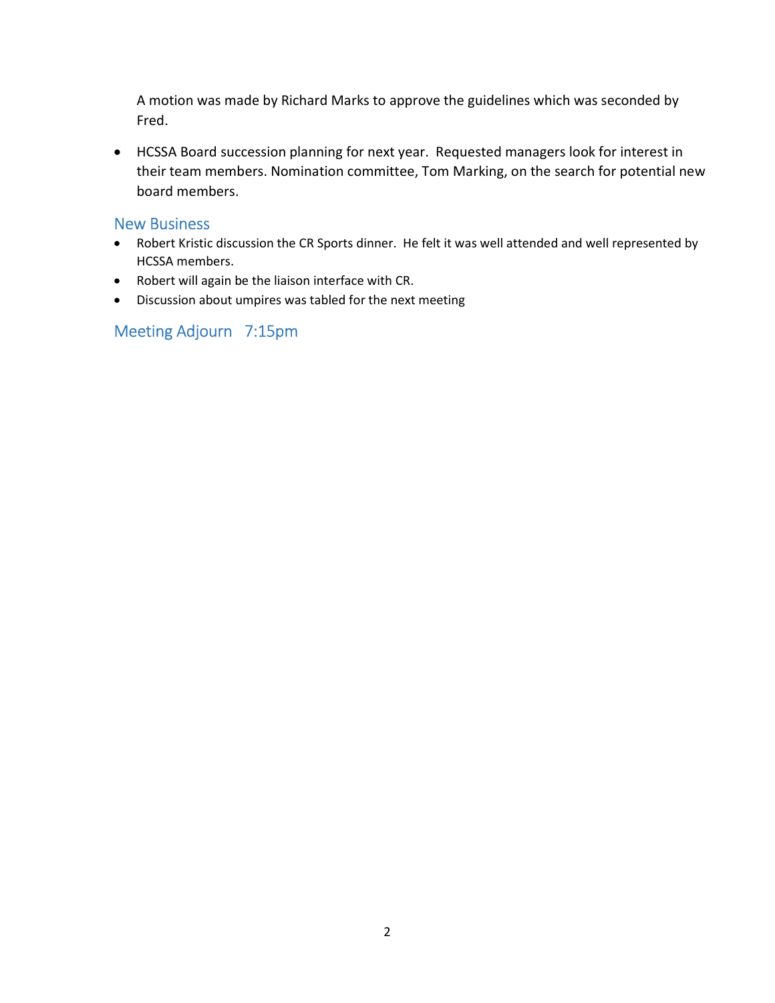A motion was made by Richard Marks to approve the guidelines which was seconded by Fred.

 HCSSA Board succession planning for next year. Requested managers look for interest in their team members. Nomination committee, Tom Marking, on the search for potential new board members.

#### New Business

- Robert Kristic discussion the CR Sports dinner. He felt it was well attended and well represented by HCSSA members.
- Robert will again be the liaison interface with CR.
- Discussion about umpires was tabled for the next meeting

# Meeting Adjourn 7:15pm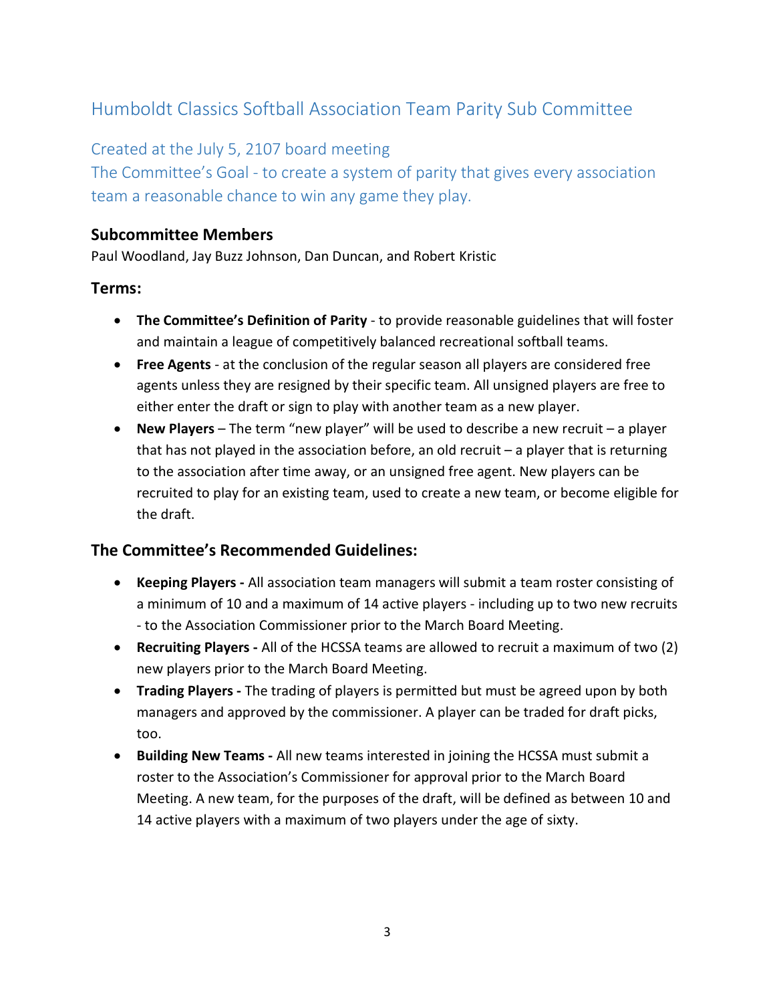# Humboldt Classics Softball Association Team Parity Sub Committee

Created at the July 5, 2107 board meeting The Committee's Goal - to create a system of parity that gives every association team a reasonable chance to win any game they play.

# Subcommittee Members

Paul Woodland, Jay Buzz Johnson, Dan Duncan, and Robert Kristic

# Terms:

- The Committee's Definition of Parity to provide reasonable guidelines that will foster and maintain a league of competitively balanced recreational softball teams.
- Free Agents at the conclusion of the regular season all players are considered free agents unless they are resigned by their specific team. All unsigned players are free to either enter the draft or sign to play with another team as a new player.
- New Players The term "new player" will be used to describe a new recruit a player that has not played in the association before, an old recruit  $-$  a player that is returning to the association after time away, or an unsigned free agent. New players can be recruited to play for an existing team, used to create a new team, or become eligible for the draft.

# The Committee's Recommended Guidelines:

- Keeping Players All association team managers will submit a team roster consisting of a minimum of 10 and a maximum of 14 active players - including up to two new recruits - to the Association Commissioner prior to the March Board Meeting.
- Recruiting Players All of the HCSSA teams are allowed to recruit a maximum of two (2) new players prior to the March Board Meeting.
- Trading Players The trading of players is permitted but must be agreed upon by both managers and approved by the commissioner. A player can be traded for draft picks, too.
- Building New Teams All new teams interested in joining the HCSSA must submit a roster to the Association's Commissioner for approval prior to the March Board Meeting. A new team, for the purposes of the draft, will be defined as between 10 and 14 active players with a maximum of two players under the age of sixty.